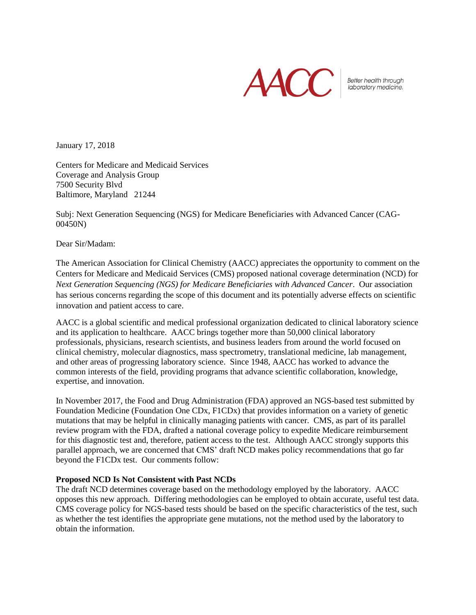

Better health through laboratory medicine.

January 17, 2018

Centers for Medicare and Medicaid Services Coverage and Analysis Group 7500 Security Blvd Baltimore, Maryland 21244

Subj: Next Generation Sequencing (NGS) for Medicare Beneficiaries with Advanced Cancer (CAG-00450N)

Dear Sir/Madam:

The American Association for Clinical Chemistry (AACC) appreciates the opportunity to comment on the Centers for Medicare and Medicaid Services (CMS) proposed national coverage determination (NCD) for *Next Generation Sequencing (NGS) for Medicare Beneficiaries with Advanced Cancer*. Our association has serious concerns regarding the scope of this document and its potentially adverse effects on scientific innovation and patient access to care.

AACC is a global scientific and medical professional organization dedicated to clinical laboratory science and its application to healthcare. AACC brings together more than 50,000 clinical laboratory professionals, physicians, research scientists, and business leaders from around the world focused on clinical chemistry, molecular diagnostics, mass spectrometry, translational medicine, lab management, and other areas of progressing laboratory science. Since 1948, AACC has worked to advance the common interests of the field, providing programs that advance scientific collaboration, knowledge, expertise, and innovation.

In November 2017, the Food and Drug Administration (FDA) approved an NGS-based test submitted by Foundation Medicine (Foundation One CDx, F1CDx) that provides information on a variety of genetic mutations that may be helpful in clinically managing patients with cancer. CMS, as part of its parallel review program with the FDA, drafted a national coverage policy to expedite Medicare reimbursement for this diagnostic test and, therefore, patient access to the test. Although AACC strongly supports this parallel approach, we are concerned that CMS' draft NCD makes policy recommendations that go far beyond the F1CDx test. Our comments follow:

### **Proposed NCD Is Not Consistent with Past NCDs**

The draft NCD determines coverage based on the methodology employed by the laboratory. AACC opposes this new approach. Differing methodologies can be employed to obtain accurate, useful test data. CMS coverage policy for NGS-based tests should be based on the specific characteristics of the test, such as whether the test identifies the appropriate gene mutations, not the method used by the laboratory to obtain the information.